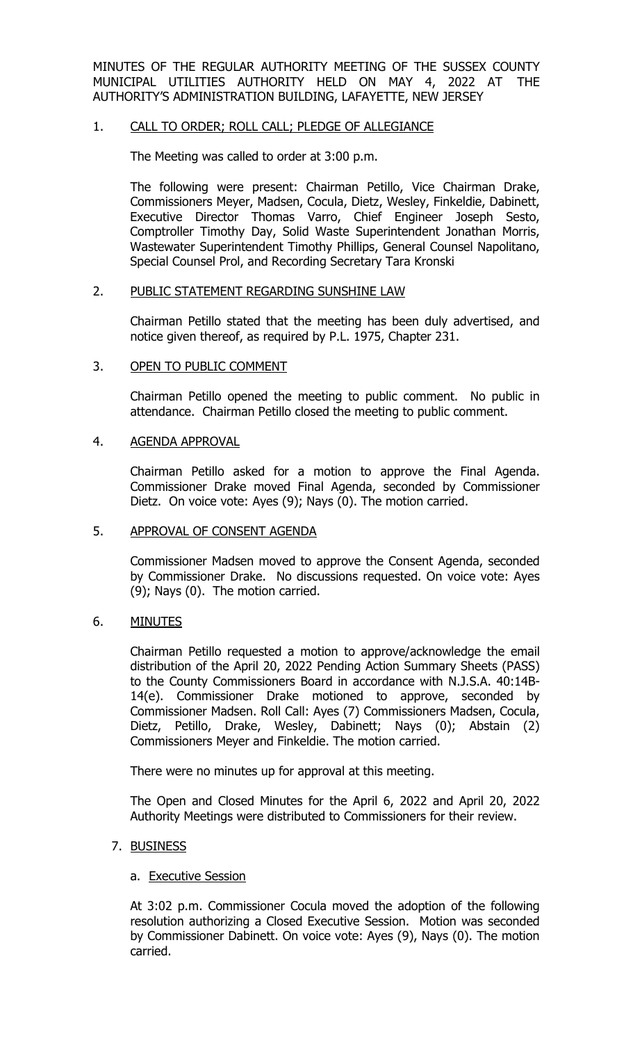MINUTES OF THE REGULAR AUTHORITY MEETING OF THE SUSSEX COUNTY MUNICIPAL UTILITIES AUTHORITY HELD ON MAY 4, 2022 AT THE AUTHORITY'S ADMINISTRATION BUILDING, LAFAYETTE, NEW JERSEY

#### 1. CALL TO ORDER; ROLL CALL; PLEDGE OF ALLEGIANCE

The Meeting was called to order at 3:00 p.m.

The following were present: Chairman Petillo, Vice Chairman Drake, Commissioners Meyer, Madsen, Cocula, Dietz, Wesley, Finkeldie, Dabinett, Executive Director Thomas Varro, Chief Engineer Joseph Sesto, Comptroller Timothy Day, Solid Waste Superintendent Jonathan Morris, Wastewater Superintendent Timothy Phillips, General Counsel Napolitano, Special Counsel Prol, and Recording Secretary Tara Kronski

#### 2. PUBLIC STATEMENT REGARDING SUNSHINE LAW

Chairman Petillo stated that the meeting has been duly advertised, and notice given thereof, as required by P.L. 1975, Chapter 231.

#### 3. OPEN TO PUBLIC COMMENT

Chairman Petillo opened the meeting to public comment. No public in attendance. Chairman Petillo closed the meeting to public comment.

#### 4. AGENDA APPROVAL

Chairman Petillo asked for a motion to approve the Final Agenda. Commissioner Drake moved Final Agenda, seconded by Commissioner Dietz. On voice vote: Ayes (9); Nays (0). The motion carried.

#### 5. APPROVAL OF CONSENT AGENDA

Commissioner Madsen moved to approve the Consent Agenda, seconded by Commissioner Drake. No discussions requested. On voice vote: Ayes (9); Nays (0). The motion carried.

## 6. MINUTES

Chairman Petillo requested a motion to approve/acknowledge the email distribution of the April 20, 2022 Pending Action Summary Sheets (PASS) to the County Commissioners Board in accordance with N.J.S.A. 40:14B-14(e). Commissioner Drake motioned to approve, seconded by Commissioner Madsen. Roll Call: Ayes (7) Commissioners Madsen, Cocula, Dietz, Petillo, Drake, Wesley, Dabinett; Nays (0); Abstain (2) Commissioners Meyer and Finkeldie. The motion carried.

There were no minutes up for approval at this meeting.

The Open and Closed Minutes for the April 6, 2022 and April 20, 2022 Authority Meetings were distributed to Commissioners for their review.

## 7. BUSINESS

#### a. Executive Session

At 3:02 p.m. Commissioner Cocula moved the adoption of the following resolution authorizing a Closed Executive Session. Motion was seconded by Commissioner Dabinett. On voice vote: Ayes (9), Nays (0). The motion carried.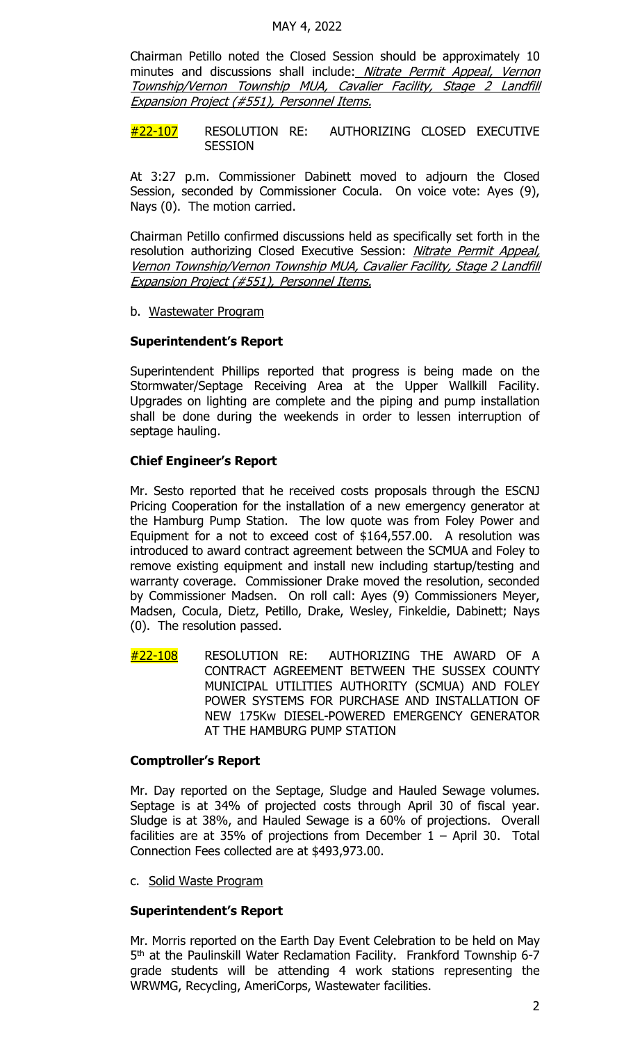Chairman Petillo noted the Closed Session should be approximately 10 minutes and discussions shall include: Nitrate Permit Appeal, Vernon Township/Vernon Township MUA, Cavalier Facility, Stage 2 Landfill Expansion Project (#551), Personnel Items.

#22-107 RESOLUTION RE: AUTHORIZING CLOSED EXECUTIVE **SESSION** 

At 3:27 p.m. Commissioner Dabinett moved to adjourn the Closed Session, seconded by Commissioner Cocula. On voice vote: Ayes (9), Nays (0). The motion carried.

Chairman Petillo confirmed discussions held as specifically set forth in the resolution authorizing Closed Executive Session: *Nitrate Permit Appeal*, Vernon Township/Vernon Township MUA, Cavalier Facility, Stage 2 Landfill Expansion Project (#551), Personnel Items.

b. Wastewater Program

## **Superintendent's Report**

Superintendent Phillips reported that progress is being made on the Stormwater/Septage Receiving Area at the Upper Wallkill Facility. Upgrades on lighting are complete and the piping and pump installation shall be done during the weekends in order to lessen interruption of septage hauling.

## **Chief Engineer's Report**

Mr. Sesto reported that he received costs proposals through the ESCNJ Pricing Cooperation for the installation of a new emergency generator at the Hamburg Pump Station. The low quote was from Foley Power and Equipment for a not to exceed cost of \$164,557.00. A resolution was introduced to award contract agreement between the SCMUA and Foley to remove existing equipment and install new including startup/testing and warranty coverage. Commissioner Drake moved the resolution, seconded by Commissioner Madsen. On roll call: Ayes (9) Commissioners Meyer, Madsen, Cocula, Dietz, Petillo, Drake, Wesley, Finkeldie, Dabinett; Nays (0). The resolution passed.

 $\#$ 22-108 RESOLUTION RE: AUTHORIZING THE AWARD OF A CONTRACT AGREEMENT BETWEEN THE SUSSEX COUNTY MUNICIPAL UTILITIES AUTHORITY (SCMUA) AND FOLEY POWER SYSTEMS FOR PURCHASE AND INSTALLATION OF NEW 175Kw DIESEL-POWERED EMERGENCY GENERATOR AT THE HAMBURG PUMP STATION

## **Comptroller's Report**

Mr. Day reported on the Septage, Sludge and Hauled Sewage volumes. Septage is at 34% of projected costs through April 30 of fiscal year. Sludge is at 38%, and Hauled Sewage is a 60% of projections. Overall facilities are at 35% of projections from December  $1 -$  April 30. Total Connection Fees collected are at \$493,973.00.

c. Solid Waste Program

## **Superintendent's Report**

Mr. Morris reported on the Earth Day Event Celebration to be held on May 5<sup>th</sup> at the Paulinskill Water Reclamation Facility. Frankford Township 6-7 grade students will be attending 4 work stations representing the WRWMG, Recycling, AmeriCorps, Wastewater facilities.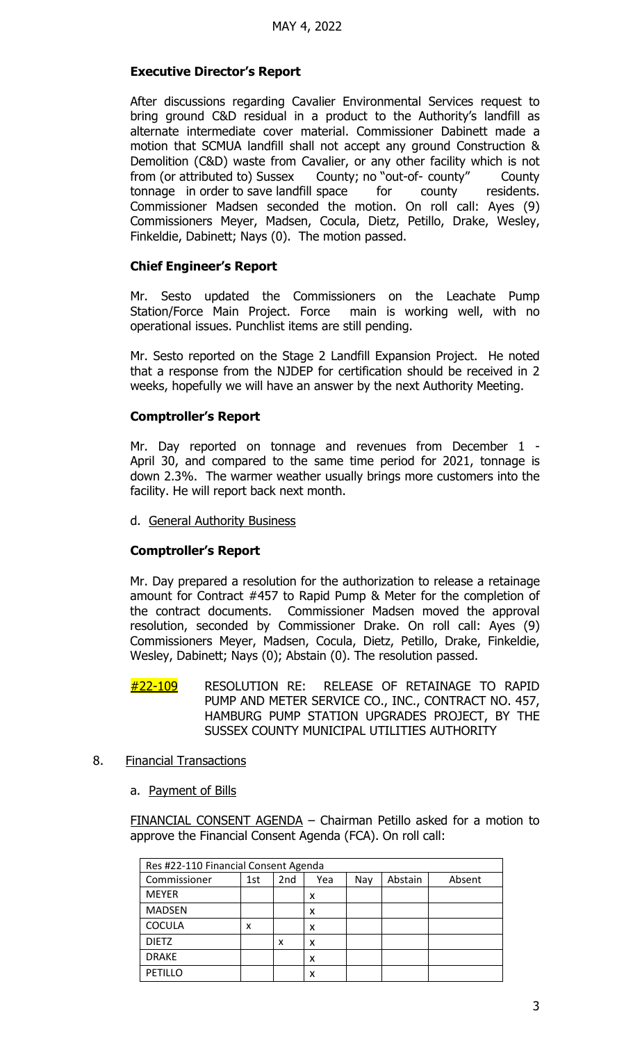## **Executive Director's Report**

After discussions regarding Cavalier Environmental Services request to bring ground C&D residual in a product to the Authority's landfill as alternate intermediate cover material. Commissioner Dabinett made a motion that SCMUA landfill shall not accept any ground Construction & Demolition (C&D) waste from Cavalier, or any other facility which is not from (or attributed to) Sussex County; no "out-of- county" County tonnage in order to save landfill space for county residents. Commissioner Madsen seconded the motion. On roll call: Ayes (9) Commissioners Meyer, Madsen, Cocula, Dietz, Petillo, Drake, Wesley, Finkeldie, Dabinett; Nays (0). The motion passed.

#### **Chief Engineer's Report**

Mr. Sesto updated the Commissioners on the Leachate Pump<br>Station/Force Main Project. Force main is working well, with no Station/Force Main Project. Force operational issues. Punchlist items are still pending.

Mr. Sesto reported on the Stage 2 Landfill Expansion Project. He noted that a response from the NJDEP for certification should be received in 2 weeks, hopefully we will have an answer by the next Authority Meeting.

#### **Comptroller's Report**

Mr. Day reported on tonnage and revenues from December 1 - April 30, and compared to the same time period for 2021, tonnage is down 2.3%. The warmer weather usually brings more customers into the facility. He will report back next month.

#### d. General Authority Business

## **Comptroller's Report**

Mr. Day prepared a resolution for the authorization to release a retainage amount for Contract #457 to Rapid Pump & Meter for the completion of the contract documents. Commissioner Madsen moved the approval resolution, seconded by Commissioner Drake. On roll call: Ayes (9) Commissioners Meyer, Madsen, Cocula, Dietz, Petillo, Drake, Finkeldie, Wesley, Dabinett; Nays (0); Abstain (0). The resolution passed.

- #22-109 RESOLUTION RE: RELEASE OF RETAINAGE TO RAPID PUMP AND METER SERVICE CO., INC., CONTRACT NO. 457, HAMBURG PUMP STATION UPGRADES PROJECT, BY THE SUSSEX COUNTY MUNICIPAL UTILITIES AUTHORITY
- 8. Financial Transactions
	- a. Payment of Bills

FINANCIAL CONSENT AGENDA - Chairman Petillo asked for a motion to approve the Financial Consent Agenda (FCA). On roll call:

| Res #22-110 Financial Consent Agenda |     |     |     |     |         |        |  |  |  |
|--------------------------------------|-----|-----|-----|-----|---------|--------|--|--|--|
| Commissioner                         | 1st | 2nd | Yea | Nay | Abstain | Absent |  |  |  |
| <b>MEYER</b>                         |     |     | x   |     |         |        |  |  |  |
| <b>MADSEN</b>                        |     |     | x   |     |         |        |  |  |  |
| <b>COCULA</b>                        | x   |     | x   |     |         |        |  |  |  |
| <b>DIETZ</b>                         |     | x   | x   |     |         |        |  |  |  |
| <b>DRAKE</b>                         |     |     | x   |     |         |        |  |  |  |
| PETILLO                              |     |     | x   |     |         |        |  |  |  |